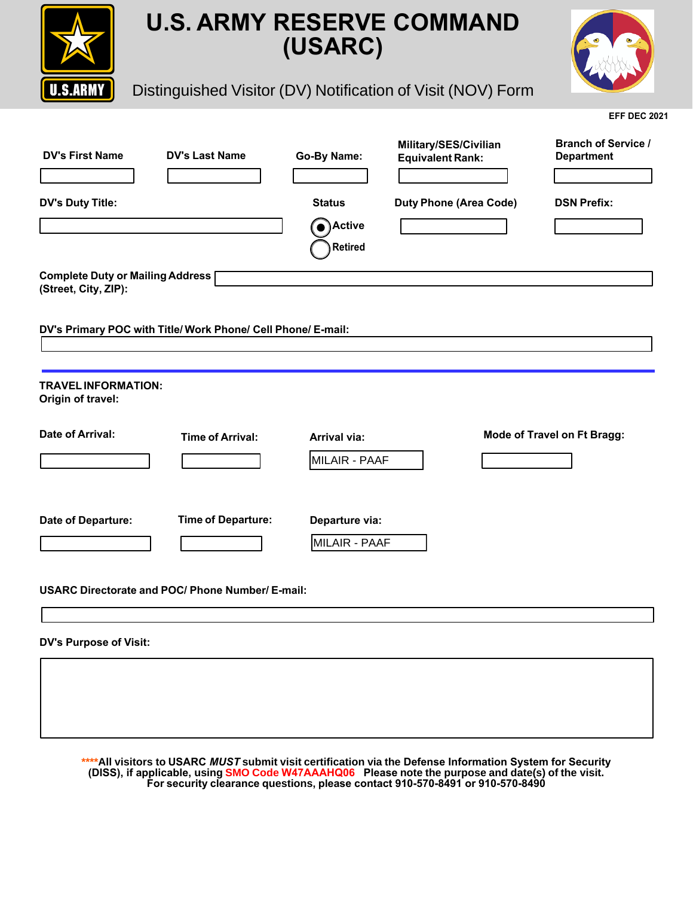



**EFF DEC 2021** 

## Distinguished Visitor (DV) Notification of Visit (NOV) Form

| '9V)LUVW1DPH                                                   | '9V/DVW1DPH                                               | R <sub>V</sub><br>1DPH                          | 0LOLWDU6(6&YLOLDQ<br>(TXLYDOHQ/5DQ | <b>WDEK RIGHUYLFH</b><br>'HSDUWPHW |
|----------------------------------------------------------------|-----------------------------------------------------------|-------------------------------------------------|------------------------------------|------------------------------------|
| '9V'XWYLWOH                                                    |                                                           | 6WDWXV<br><b>SFWLYH</b><br>$\bullet$<br>5HWLUHG | 'XW\ 3RQ (Area Code)               | <b>DSN Prefix:</b>                 |
| <b>Complete Duty or Mailing Address</b><br>(Street, City, IP): |                                                           |                                                 |                                    |                                    |
|                                                                | DV's Primary POC it Title/ ork P one/ Cell P one/ E-mail: |                                                 |                                    |                                    |
| <b>TRAVELINFORMATION:</b><br>Origin of travel:                 |                                                           |                                                 |                                    |                                    |
| Date of Arrival:                                               | <b>Time of Arrival:</b>                                   | <b>Arrival via:</b><br>MILAIR - PAAF            |                                    | Mode of Travel on Ft Bragg:        |
| Date of Departure:                                             | <b>Time of Departure:</b>                                 | Departure via:<br>MILAIR - PAAF                 |                                    |                                    |
|                                                                | <b>USARC Directorate and POC/ Phone Number/ E-mail:</b>   |                                                 |                                    |                                    |
| <b>DV's Purpose of Visit:</b>                                  |                                                           |                                                 |                                    |                                    |

**\*\*\*\***All visitors to USARC & ubmit visit certification via the **ELAREDWRQWHREMAN**<br>DISSOED BHKXULWARD USING SAND Code 47AAAH Q06 Please note the purpose **DSSOEDBH** using SMO Code 47AAAHQ06 Please note the purpose and date(s) of the visit. **)RU VHFXULW\ FOHDUDQFH Tuestions SOHDVHFRQWDFW910-570-8491 or 910-570-8490**